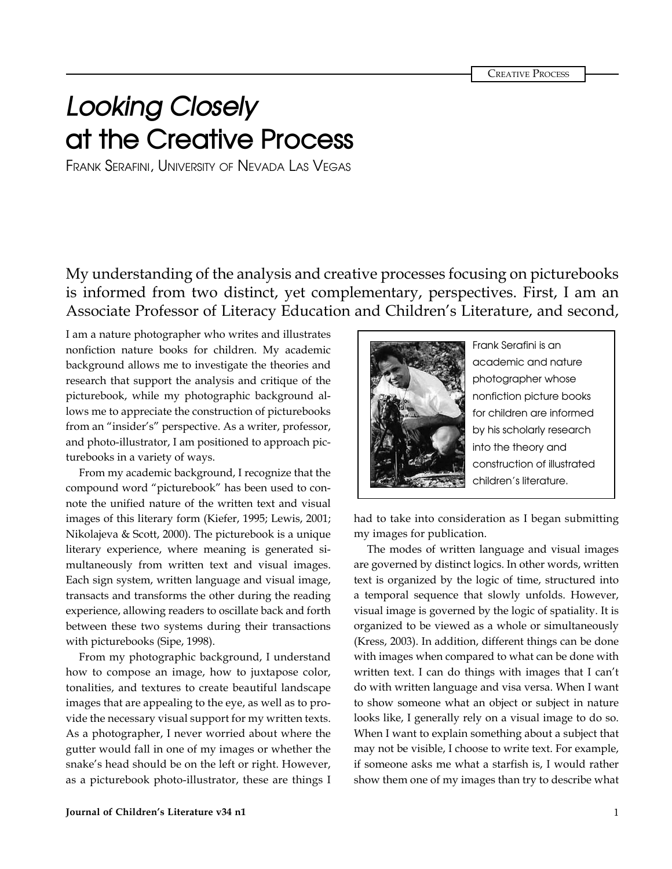**CREATIVE PROCESS** 

## **Looking Closely at the Creative Process**

Frank Serafini, University of Nevada Las Vegas

My understanding of the analysis and creative processes focusing on picturebooks is informed from two distinct, yet complementary, perspectives. First, I am an Associate Professor of Literacy Education and Children's Literature, and second,

I am a nature photographer who writes and illustrates nonfiction nature books for children. My academic background allows me to investigate the theories and research that support the analysis and critique of the picturebook, while my photographic background allows me to appreciate the construction of picturebooks from an "insider's" perspective. As a writer, professor, and photo-illustrator, I am positioned to approach picturebooks in a variety of ways.

From my academic background, I recognize that the compound word "picturebook" has been used to connote the unified nature of the written text and visual images of this literary form (Kiefer, 1995; Lewis, 2001; Nikolajeva & Scott, 2000). The picturebook is a unique literary experience, where meaning is generated simultaneously from written text and visual images. Each sign system, written language and visual image, transacts and transforms the other during the reading experience, allowing readers to oscillate back and forth between these two systems during their transactions with picturebooks (Sipe, 1998).

From my photographic background, I understand how to compose an image, how to juxtapose color, tonalities, and textures to create beautiful landscape images that are appealing to the eye, as well as to provide the necessary visual support for my written texts. As a photographer, I never worried about where the gutter would fall in one of my images or whether the snake's head should be on the left or right. However, as a picturebook photo-illustrator, these are things I



Frank Serafini is an academic and nature photographer whose nonfiction picture books for children are informed by his scholarly research into the theory and construction of illustrated children's literature.

had to take into consideration as I began submitting my images for publication.

The modes of written language and visual images are governed by distinct logics. In other words, written text is organized by the logic of time, structured into a temporal sequence that slowly unfolds. However, visual image is governed by the logic of spatiality. It is organized to be viewed as a whole or simultaneously (Kress, 2003). In addition, different things can be done with images when compared to what can be done with written text. I can do things with images that I can't do with written language and visa versa. When I want to show someone what an object or subject in nature looks like, I generally rely on a visual image to do so. When I want to explain something about a subject that may not be visible, I choose to write text. For example, if someone asks me what a starfish is, I would rather show them one of my images than try to describe what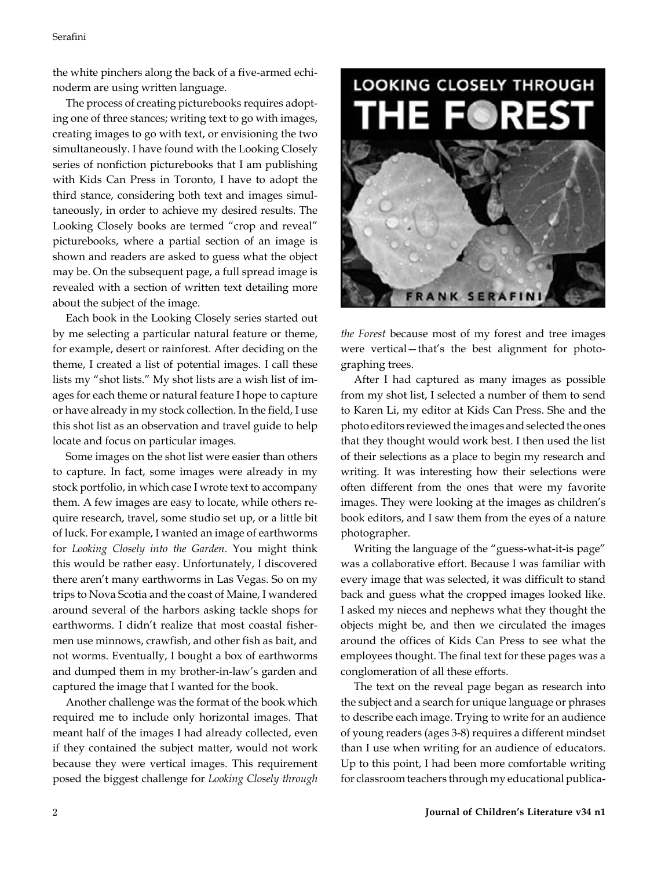the white pinchers along the back of a five-armed echinoderm are using written language.

The process of creating picturebooks requires adopting one of three stances; writing text to go with images, creating images to go with text, or envisioning the two simultaneously. I have found with the Looking Closely series of nonfiction picturebooks that I am publishing with Kids Can Press in Toronto, I have to adopt the third stance, considering both text and images simultaneously, in order to achieve my desired results. The Looking Closely books are termed "crop and reveal" picturebooks, where a partial section of an image is shown and readers are asked to guess what the object may be. On the subsequent page, a full spread image is revealed with a section of written text detailing more about the subject of the image.

Each book in the Looking Closely series started out by me selecting a particular natural feature or theme, for example, desert or rainforest. After deciding on the theme, I created a list of potential images. I call these lists my "shot lists." My shot lists are a wish list of images for each theme or natural feature I hope to capture or have already in my stock collection. In the field, I use this shot list as an observation and travel guide to help locate and focus on particular images.

Some images on the shot list were easier than others to capture. In fact, some images were already in my stock portfolio, in which case I wrote text to accompany them. A few images are easy to locate, while others require research, travel, some studio set up, or a little bit of luck. For example, I wanted an image of earthworms for *Looking Closely into the Garden*. You might think this would be rather easy. Unfortunately, I discovered there aren't many earthworms in Las Vegas. So on my trips to Nova Scotia and the coast of Maine, I wandered around several of the harbors asking tackle shops for earthworms. I didn't realize that most coastal fishermen use minnows, crawfish, and other fish as bait, and not worms. Eventually, I bought a box of earthworms and dumped them in my brother-in-law's garden and captured the image that I wanted for the book.

Another challenge was the format of the book which required me to include only horizontal images. That meant half of the images I had already collected, even if they contained the subject matter, would not work because they were vertical images. This requirement posed the biggest challenge for *Looking Closely through* 



*the Forest* because most of my forest and tree images were vertical—that's the best alignment for photographing trees.

After I had captured as many images as possible from my shot list, I selected a number of them to send to Karen Li, my editor at Kids Can Press. She and the photo editors reviewed the images and selected the ones that they thought would work best. I then used the list of their selections as a place to begin my research and writing. It was interesting how their selections were often different from the ones that were my favorite images. They were looking at the images as children's book editors, and I saw them from the eyes of a nature photographer.

Writing the language of the "guess-what-it-is page" was a collaborative effort. Because I was familiar with every image that was selected, it was difficult to stand back and guess what the cropped images looked like. I asked my nieces and nephews what they thought the objects might be, and then we circulated the images around the offices of Kids Can Press to see what the employees thought. The final text for these pages was a conglomeration of all these efforts.

The text on the reveal page began as research into the subject and a search for unique language or phrases to describe each image. Trying to write for an audience of young readers (ages 3-8) requires a different mindset than I use when writing for an audience of educators. Up to this point, I had been more comfortable writing for classroom teachers through my educational publica